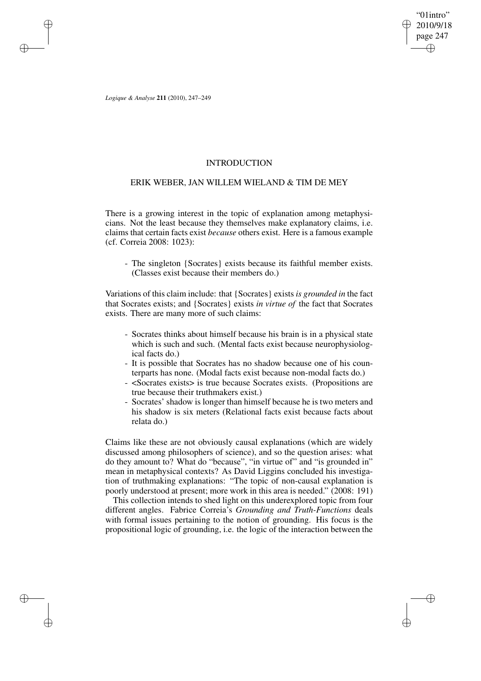"01intro" 2010/9/18 page 247 ✐ ✐

✐

✐

*Logique & Analyse* **211** (2010), 247–249

✐

✐

✐

✐

### INTRODUCTION

## ERIK WEBER, JAN WILLEM WIELAND & TIM DE MEY

There is a growing interest in the topic of explanation among metaphysicians. Not the least because they themselves make explanatory claims, i.e. claims that certain facts exist *because* others exist. Here is a famous example (cf. Correia 2008: 1023):

- The singleton {Socrates} exists because its faithful member exists. (Classes exist because their members do.)

Variations of this claim include: that {Socrates} exists *is grounded in* the fact that Socrates exists; and {Socrates} exists *in virtue of* the fact that Socrates exists. There are many more of such claims:

- Socrates thinks about himself because his brain is in a physical state which is such and such. (Mental facts exist because neurophysiological facts do.)
- It is possible that Socrates has no shadow because one of his counterparts has none. (Modal facts exist because non-modal facts do.)
- <Socrates exists> is true because Socrates exists. (Propositions are true because their truthmakers exist.)
- Socrates' shadow is longer than himself because he is two meters and his shadow is six meters (Relational facts exist because facts about relata do.)

Claims like these are not obviously causal explanations (which are widely discussed among philosophers of science), and so the question arises: what do they amount to? What do "because", "in virtue of" and "is grounded in" mean in metaphysical contexts? As David Liggins concluded his investigation of truthmaking explanations: "The topic of non-causal explanation is poorly understood at present; more work in this area is needed." (2008: 191)

This collection intends to shed light on this underexplored topic from four different angles. Fabrice Correia's *Grounding and Truth-Functions* deals with formal issues pertaining to the notion of grounding. His focus is the propositional logic of grounding, i.e. the logic of the interaction between the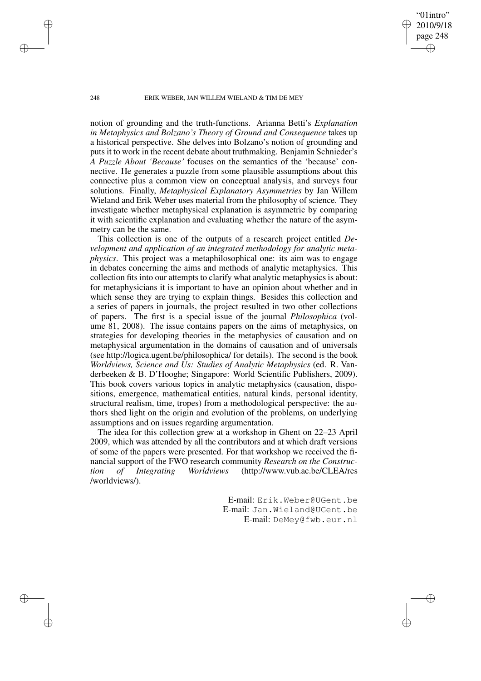"01intro" 2010/9/18 page 248 ✐ ✐

✐

✐

### 248 ERIK WEBER, JAN WILLEM WIELAND & TIM DE MEY

notion of grounding and the truth-functions. Arianna Betti's *Explanation in Metaphysics and Bolzano's Theory of Ground and Consequence* takes up a historical perspective. She delves into Bolzano's notion of grounding and puts it to work in the recent debate about truthmaking. Benjamin Schnieder's *A Puzzle About 'Because'* focuses on the semantics of the 'because' connective. He generates a puzzle from some plausible assumptions about this connective plus a common view on conceptual analysis, and surveys four solutions. Finally, *Metaphysical Explanatory Asymmetries* by Jan Willem Wieland and Erik Weber uses material from the philosophy of science. They investigate whether metaphysical explanation is asymmetric by comparing it with scientific explanation and evaluating whether the nature of the asymmetry can be the same.

This collection is one of the outputs of a research project entitled *Development and application of an integrated methodology for analytic metaphysics*. This project was a metaphilosophical one: its aim was to engage in debates concerning the aims and methods of analytic metaphysics. This collection fits into our attempts to clarify what analytic metaphysics is about: for metaphysicians it is important to have an opinion about whether and in which sense they are trying to explain things. Besides this collection and a series of papers in journals, the project resulted in two other collections of papers. The first is a special issue of the journal *Philosophica* (volume 81, 2008). The issue contains papers on the aims of metaphysics, on strategies for developing theories in the metaphysics of causation and on metaphysical argumentation in the domains of causation and of universals (see http://logica.ugent.be/philosophica/ for details). The second is the book *Worldviews, Science and Us: Studies of Analytic Metaphysics* (ed. R. Vanderbeeken & B. D'Hooghe; Singapore: World Scientific Publishers, 2009). This book covers various topics in analytic metaphysics (causation, dispositions, emergence, mathematical entities, natural kinds, personal identity, structural realism, time, tropes) from a methodological perspective: the authors shed light on the origin and evolution of the problems, on underlying assumptions and on issues regarding argumentation.

The idea for this collection grew at a workshop in Ghent on 22–23 April 2009, which was attended by all the contributors and at which draft versions of some of the papers were presented. For that workshop we received the financial support of the FWO research community *Research on the Construction of Integrating Worldviews* (http://www.vub.ac.be/CLEA/res /worldviews/).

> E-mail: Erik.Weber@UGent.be E-mail: Jan.Wieland@UGent.be E-mail: DeMey@fwb.eur.nl

✐

✐

✐

✐